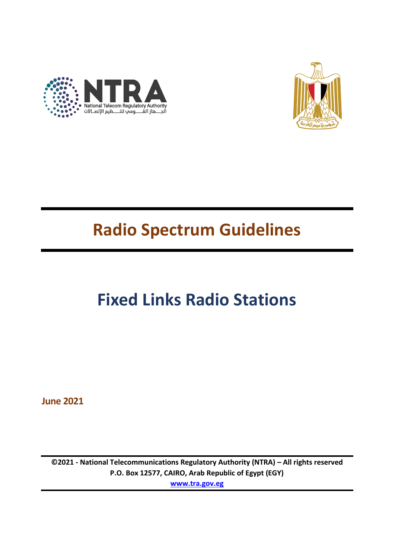



## **Radio Spectrum Guidelines**

# **Fixed Links Radio Stations**

**June 2021**

**©2021 - National Telecommunications Regulatory Authority (NTRA) – All rights reserved P.O. Box 12577, CAIRO, Arab Republic of Egypt (EGY) [www.tra.gov.eg](http://www.tra.gov.eg/)**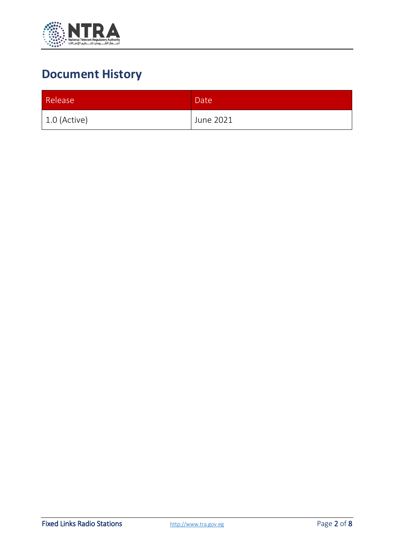

### **Document History**

| Release        | Date <sup>1</sup> |
|----------------|-------------------|
| $1.0$ (Active) | June 2021         |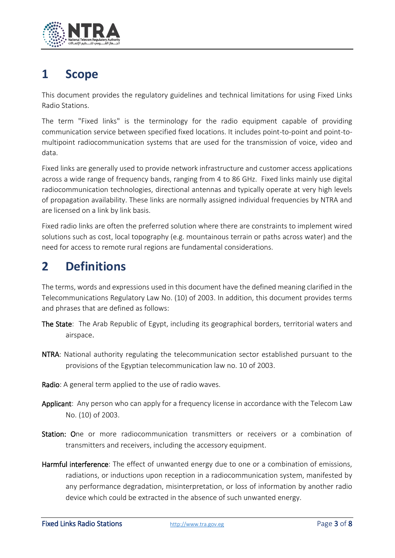

#### **1 Scope**

This document provides the regulatory guidelines and technical limitations for using Fixed Links Radio Stations.

The term "Fixed links" is the terminology for the radio equipment capable of providing communication service between specified fixed locations. It includes point-to-point and point-tomultipoint radiocommunication systems that are used for the transmission of voice, video and data.

Fixed links are generally used to provide network infrastructure and customer access applications across a wide range of frequency bands, ranging from 4 to 86 GHz. Fixed links mainly use digital radiocommunication technologies, directional antennas and typically operate at very high levels of propagation availability. These links are normally assigned individual frequencies by NTRA and are licensed on a link by link basis.

Fixed radio links are often the preferred solution where there are constraints to implement wired solutions such as cost, local topography (e.g. mountainous terrain or paths across water) and the need for access to remote rural regions are fundamental considerations.

#### **2 Definitions**

The terms, words and expressions used in this document have the defined meaning clarified in the Telecommunications Regulatory Law No. (10) of 2003. In addition, this document provides terms and phrases that are defined as follows:

- The State: The Arab Republic of Egypt, including its geographical borders, territorial waters and airspace.
- NTRA: National authority regulating the telecommunication sector established pursuant to the provisions of the Egyptian telecommunication law no. 10 of 2003.
- Radio: A general term applied to the use of radio waves.
- Applicant: Any person who can apply for a frequency license in accordance with the Telecom Law No. (10) of 2003.
- Station: One or more radiocommunication transmitters or receivers or a combination of transmitters and receivers, including the accessory equipment.
- Harmful interference: The effect of unwanted energy due to one or a combination of emissions, radiations, or inductions upon reception in a radiocommunication system, manifested by any performance degradation, misinterpretation, or loss of information by another radio device which could be extracted in the absence of such unwanted energy.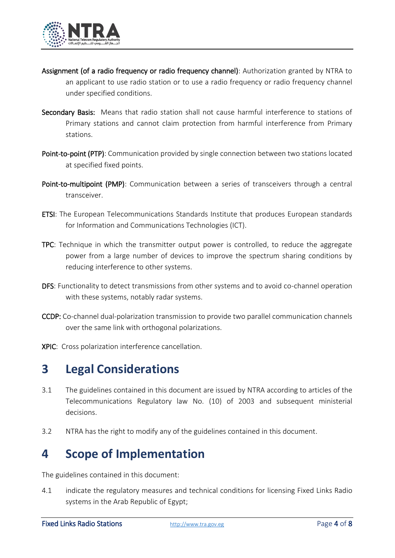

- Assignment (of a radio frequency or radio frequency channel): Authorization granted by NTRA to an applicant to use radio station or to use a radio frequency or radio frequency channel under specified conditions.
- Secondary Basis: Means that radio station shall not cause harmful interference to stations of Primary stations and cannot claim protection from harmful interference from Primary stations.
- Point-to-point (PTP): Communication provided by single connection between two stations located at specified fixed points.
- Point-to-multipoint (PMP): Communication between a series of transceivers through a central transceiver.
- ETSI: The European Telecommunications Standards Institute that produces European standards for Information and Communications Technologies (ICT).
- TPC: Technique in which the transmitter output power is controlled, to reduce the aggregate power from a large number of devices to improve the spectrum sharing conditions by reducing interference to other systems.
- DFS: Functionality to detect transmissions from other systems and to avoid co-channel operation with these systems, notably radar systems.
- CCDP: Co-channel dual-polarization transmission to provide two parallel communication channels over the same link with orthogonal polarizations.
- XPIC: Cross polarization interference cancellation.

#### **3 Legal Considerations**

- 3.1 The guidelines contained in this document are issued by NTRA according to articles of the Telecommunications Regulatory law No. (10) of 2003 and subsequent ministerial decisions.
- 3.2 NTRA has the right to modify any of the guidelines contained in this document.

#### **4 Scope of Implementation**

The guidelines contained in this document:

4.1 indicate the regulatory measures and technical conditions for licensing Fixed Links Radio systems in the Arab Republic of Egypt;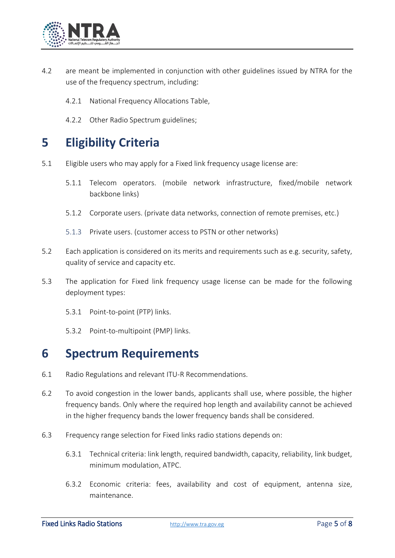

- 4.2 are meant be implemented in conjunction with other guidelines issued by NTRA for the use of the frequency spectrum, including:
	- 4.2.1 National Frequency Allocations Table,
	- 4.2.2 Other Radio Spectrum guidelines;

#### **5 Eligibility Criteria**

- 5.1 Eligible users who may apply for a Fixed link frequency usage license are:
	- 5.1.1 Telecom operators. (mobile network infrastructure, fixed/mobile network backbone links)
	- 5.1.2 Corporate users. (private data networks, connection of remote premises, etc.)
	- 5.1.3 Private users. (customer access to PSTN or other networks)
- 5.2 Each application is considered on its merits and requirements such as e.g. security, safety, quality of service and capacity etc.
- 5.3 The application for Fixed link frequency usage license can be made for the following deployment types:
	- 5.3.1 Point-to-point (PTP) links.
	- 5.3.2 Point-to-multipoint (PMP) links.

#### **6 Spectrum Requirements**

- 6.1 Radio Regulations and relevant ITU-R Recommendations.
- 6.2 To avoid congestion in the lower bands, applicants shall use, where possible, the higher frequency bands. Only where the required hop length and availability cannot be achieved in the higher frequency bands the lower frequency bands shall be considered.
- 6.3 Frequency range selection for Fixed links radio stations depends on:
	- 6.3.1 Technical criteria: link length, required bandwidth, capacity, reliability, link budget, minimum modulation, ATPC.
	- 6.3.2 Economic criteria: fees, availability and cost of equipment, antenna size, maintenance.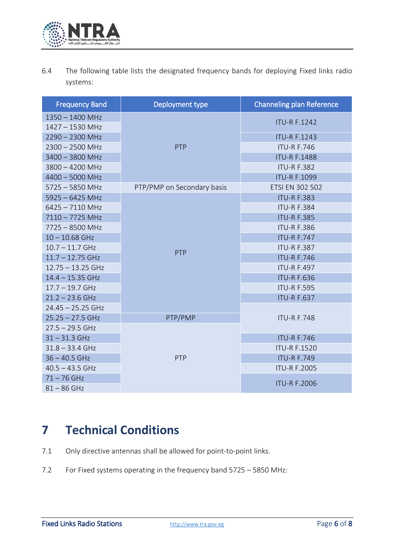

6.4 The following table lists the designated frequency bands for deploying Fixed links radio systems:

| <b>Frequency Band</b> | Deployment type            | <b>Channeling plan Reference</b> |
|-----------------------|----------------------------|----------------------------------|
| $1350 - 1400$ MHz     | PTP                        | <b>ITU-R F.1242</b>              |
| 1427 - 1530 MHz       |                            |                                  |
| $2290 - 2300$ MHz     |                            | <b>ITU-R F.1243</b>              |
| $2300 - 2500$ MHz     |                            | <b>ITU-R F.746</b>               |
| 3400 - 3800 MHz       |                            | <b>ITU-R F.1488</b>              |
| $3800 - 4200$ MHz     |                            | <b>ITU-R F.382</b>               |
| 4400 - 5000 MHz       |                            | <b>ITU-R F.1099</b>              |
| $5725 - 5850$ MHz     | PTP/PMP on Secondary basis | <b>ETSI EN 302 502</b>           |
| $5925 - 6425$ MHz     | PTP                        | <b>ITU-R F.383</b>               |
| 6425 - 7110 MHz       |                            | <b>ITU-R F.384</b>               |
| 7110-7725 MHz         |                            | <b>ITU-R F.385</b>               |
| 7725 - 8500 MHz       |                            | <b>ITU-R F.386</b>               |
| $10 - 10.68$ GHz      |                            | <b>ITU-R F.747</b>               |
| $10.7 - 11.7$ GHz     |                            | <b>ITU-R F.387</b>               |
| $11.7 - 12.75$ GHz    |                            | <b>ITU-R F.746</b>               |
| $12.75 - 13.25$ GHz   |                            | <b>ITU-R F.497</b>               |
| $14.4 - 15.35$ GHz    |                            | <b>ITU-R F.636</b>               |
| $17.7 - 19.7$ GHz     |                            | <b>ITU-R F.595</b>               |
| $21.2 - 23.6$ GHz     |                            | <b>ITU-R F.637</b>               |
| $24.45 - 25.25$ GHz   |                            |                                  |
| $25.25 - 27.5$ GHz    | PTP/PMP                    | <b>ITU-R F.748</b>               |
| $27.5 - 29.5$ GHz     |                            |                                  |
| $31 - 31.3$ GHz       | PTP                        | <b>ITU-R F.746</b>               |
| $31.8 - 33.4$ GHz     |                            | <b>ITU-R F.1520</b>              |
| $36 - 40.5$ GHz       |                            | <b>ITU-R F.749</b>               |
| $40.5 - 43.5$ GHz     |                            | <b>ITU-R F.2005</b>              |
| $71 - 76$ GHz         |                            |                                  |
| $81 - 86$ GHz         |                            | <b>ITU-R F.2006</b>              |

### **7 Technical Conditions**

- 7.1 Only directive antennas shall be allowed for point-to-point links.
- 7.2 For Fixed systems operating in the frequency band 5725 5850 MHz: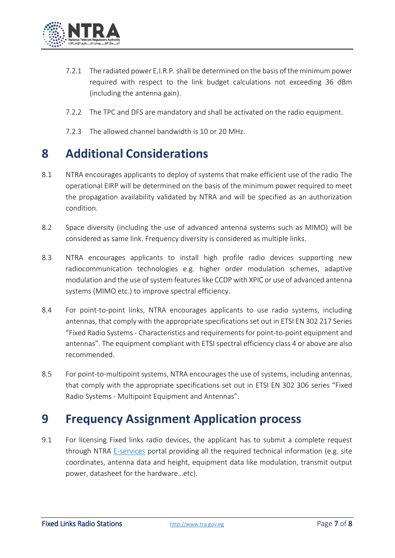

- 7.2.1 The radiated power E.I.R.P. shall be determined on the basis of the minimum power required with respect to the link budget calculations not exceeding 36 dBm (including the antenna gain).
- 7.2.2 The TPC and DFS are mandatory and shall be activated on the radio equipment.
- 7.2.3 The allowed channel bandwidth is 10 or 20 MHz.

#### **8 Additional Considerations**

- 8.1 NTRA encourages applicants to deploy of systems that make efficient use of the radio The operational EIRP will be determined on the basis of the minimum power required to meet the propagation availability validated by NTRA and will be specified as an authorization condition.
- 8.2 Space diversity (including the use of advanced antenna systems such as MIMO) will be considered as same link. Frequency diversity is considered as multiple links.
- 8.3 NTRA encourages applicants to install high profile radio devices supporting new radiocommunication technologies e.g. higher order modulation schemes, adaptive modulation and the use of system features like CCDP with XPIC or use of advanced antenna systems (MIMO etc.) to improve spectral efficiency.
- 8.4 For point-to-point links, NTRA encourages applicants to use radio systems, including antennas, that comply with the appropriate specifications set out in ETSI EN 302 217 Series "Fixed Radio Systems - Characteristics and requirements for point-to-point equipment and antennas". The equipment compliant with ETSI spectral efficiency class 4 or above are also recommended.
- 8.5 For point-to-multipoint systems, NTRA encourages the use of systems, including antennas, that comply with the appropriate specifications set out in ETSI EN 302 306 series "Fixed Radio Systems - Multipoint Equipment and Antennas".

#### **9 Frequency Assignment Application process**

9.1 For licensing Fixed links radio devices, the applicant has to submit a complete request through NTRA [E-services](https://digital.tra.gov.eg/) portal providing all the required technical information (e.g. site coordinates, antenna data and height, equipment data like modulation, transmit output power, datasheet for the hardware…etc).